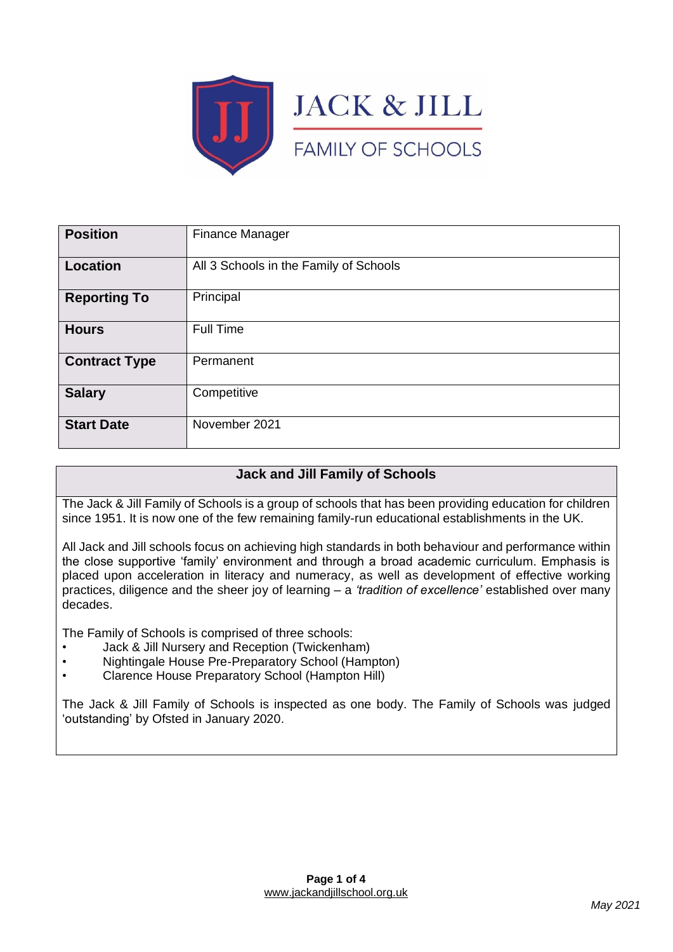

| <b>Position</b>      | Finance Manager                        |
|----------------------|----------------------------------------|
| <b>Location</b>      | All 3 Schools in the Family of Schools |
| <b>Reporting To</b>  | Principal                              |
| <b>Hours</b>         | Full Time                              |
| <b>Contract Type</b> | Permanent                              |
| <b>Salary</b>        | Competitive                            |
| <b>Start Date</b>    | November 2021                          |

## **Jack and Jill Family of Schools**

The Jack & Jill Family of Schools is a group of schools that has been providing education for children since 1951. It is now one of the few remaining family-run educational establishments in the UK.

All Jack and Jill schools focus on achieving high standards in both behaviour and performance within the close supportive 'family' environment and through a broad academic curriculum. Emphasis is placed upon acceleration in literacy and numeracy, as well as development of effective working practices, diligence and the sheer joy of learning – a *'tradition of excellence'* established over many decades.

The Family of Schools is comprised of three schools:

- Jack & Jill Nursery and Reception (Twickenham)
- Nightingale House Pre-Preparatory School (Hampton)
- Clarence House Preparatory School (Hampton Hill)

The Jack & Jill Family of Schools is inspected as one body. The Family of Schools was judged 'outstanding' by Ofsted in January 2020.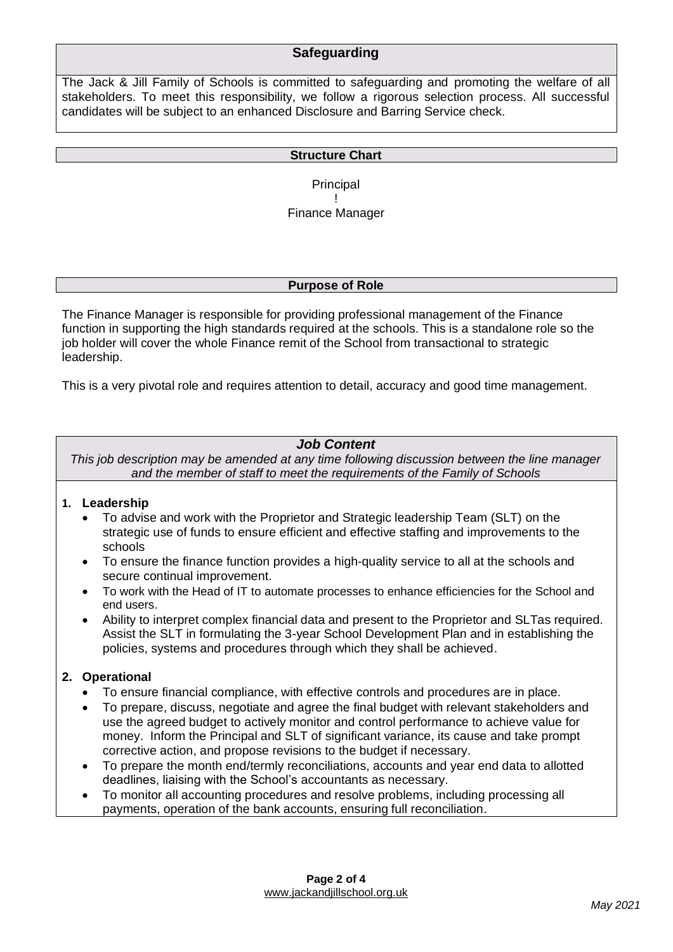### **Safeguarding**

The Jack & Jill Family of Schools is committed to safeguarding and promoting the welfare of all stakeholders. To meet this responsibility, we follow a rigorous selection process. All successful candidates will be subject to an enhanced Disclosure and Barring Service check.

#### **Structure Chart**

**Principal** ! Finance Manager

#### **Purpose of Role**

The Finance Manager is responsible for providing professional management of the Finance function in supporting the high standards required at the schools. This is a standalone role so the job holder will cover the whole Finance remit of the School from transactional to strategic leadership.

This is a very pivotal role and requires attention to detail, accuracy and good time management.

### *Job Content*

*This job description may be amended at any time following discussion between the line manager and the member of staff to meet the requirements of the Family of Schools*

#### **1. Leadership**

- To advise and work with the Proprietor and Strategic leadership Team (SLT) on the strategic use of funds to ensure efficient and effective staffing and improvements to the schools
- To ensure the finance function provides a high-quality service to all at the schools and secure continual improvement.
- To work with the Head of IT to automate processes to enhance efficiencies for the School and end users.
- Ability to interpret complex financial data and present to the Proprietor and SLTas required. Assist the SLT in formulating the 3-year School Development Plan and in establishing the policies, systems and procedures through which they shall be achieved.

#### **2. Operational**

- To ensure financial compliance, with effective controls and procedures are in place.
- To prepare, discuss, negotiate and agree the final budget with relevant stakeholders and use the agreed budget to actively monitor and control performance to achieve value for money. Inform the Principal and SLT of significant variance, its cause and take prompt corrective action, and propose revisions to the budget if necessary.
- To prepare the month end/termly reconciliations, accounts and year end data to allotted deadlines, liaising with the School's accountants as necessary.
- To monitor all accounting procedures and resolve problems, including processing all payments, operation of the bank accounts, ensuring full reconciliation.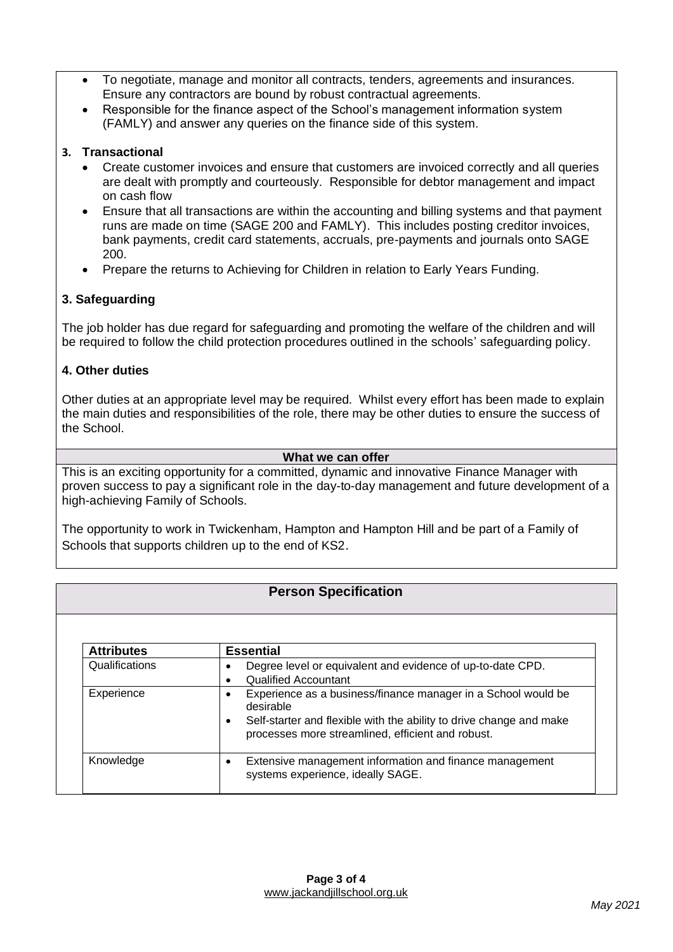- To negotiate, manage and monitor all contracts, tenders, agreements and insurances. Ensure any contractors are bound by robust contractual agreements.
- Responsible for the finance aspect of the School's management information system (FAMLY) and answer any queries on the finance side of this system.

### **3. Transactional**

- Create customer invoices and ensure that customers are invoiced correctly and all queries are dealt with promptly and courteously. Responsible for debtor management and impact on cash flow
- Ensure that all transactions are within the accounting and billing systems and that payment runs are made on time (SAGE 200 and FAMLY). This includes posting creditor invoices, bank payments, credit card statements, accruals, pre-payments and journals onto SAGE 200.
- Prepare the returns to Achieving for Children in relation to Early Years Funding.

### **3. Safeguarding**

The job holder has due regard for safeguarding and promoting the welfare of the children and will be required to follow the child protection procedures outlined in the schools' safeguarding policy.

### **4. Other duties**

Other duties at an appropriate level may be required. Whilst every effort has been made to explain the main duties and responsibilities of the role, there may be other duties to ensure the success of the School.

#### **What we can offer**

This is an exciting opportunity for a committed, dynamic and innovative Finance Manager with proven success to pay a significant role in the day-to-day management and future development of a high-achieving Family of Schools.

The opportunity to work in Twickenham, Hampton and Hampton Hill and be part of a Family of Schools that supports children up to the end of KS2.

### **Person Specification**

| <b>Attributes</b> | <b>Essential</b>                                                                                                                                                                                                    |
|-------------------|---------------------------------------------------------------------------------------------------------------------------------------------------------------------------------------------------------------------|
| Qualifications    | Degree level or equivalent and evidence of up-to-date CPD.<br><b>Qualified Accountant</b>                                                                                                                           |
| Experience        | Experience as a business/finance manager in a School would be<br>desirable<br>Self-starter and flexible with the ability to drive change and make<br>$\bullet$<br>processes more streamlined, efficient and robust. |
| Knowledge         | Extensive management information and finance management<br>systems experience, ideally SAGE.                                                                                                                        |